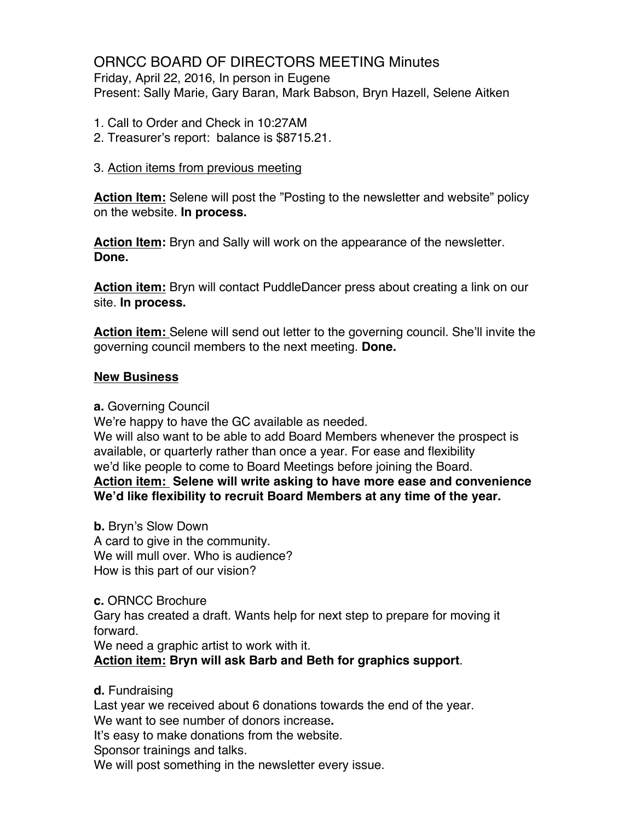# ORNCC BOARD OF DIRECTORS MEETING Minutes

Friday, April 22, 2016, In person in Eugene Present: Sally Marie, Gary Baran, Mark Babson, Bryn Hazell, Selene Aitken

- 1. Call to Order and Check in 10:27AM
- 2. Treasurer's report: balance is \$8715.21.

### 3. Action items from previous meeting

**Action Item:** Selene will post the "Posting to the newsletter and website" policy on the website. **In process.**

**Action Item:** Bryn and Sally will work on the appearance of the newsletter. **Done.**

**Action item:** Bryn will contact PuddleDancer press about creating a link on our site. **In process.**

**Action item:** Selene will send out letter to the governing council. She'll invite the governing council members to the next meeting. **Done.**

### **New Business**

**a.** Governing Council

We're happy to have the GC available as needed.

We will also want to be able to add Board Members whenever the prospect is available, or quarterly rather than once a year. For ease and flexibility we'd like people to come to Board Meetings before joining the Board.

**Action item: Selene will write asking to have more ease and convenience We'd like flexibility to recruit Board Members at any time of the year.**

**b.** Bryn's Slow Down A card to give in the community. We will mull over. Who is audience? How is this part of our vision?

**c.** ORNCC Brochure Gary has created a draft. Wants help for next step to prepare for moving it forward.

We need a graphic artist to work with it.

**Action item: Bryn will ask Barb and Beth for graphics support**.

**d.** Fundraising

Last year we received about 6 donations towards the end of the year.

We want to see number of donors increase**.**

It's easy to make donations from the website.

Sponsor trainings and talks.

We will post something in the newsletter every issue.